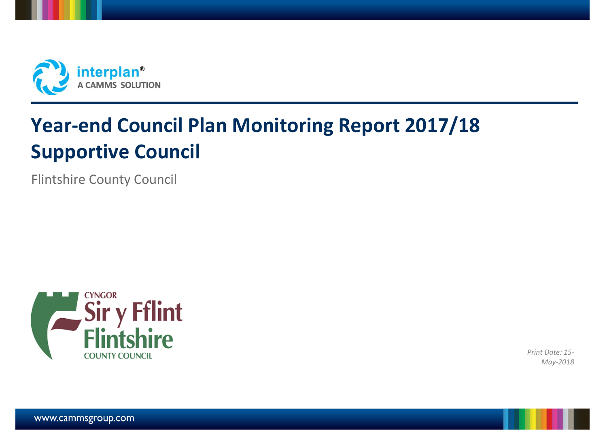

# **Year-end Council Plan Monitoring Report 2017/18 Supportive Council**

Flintshire County Council



*Print Date: 15- May-2018*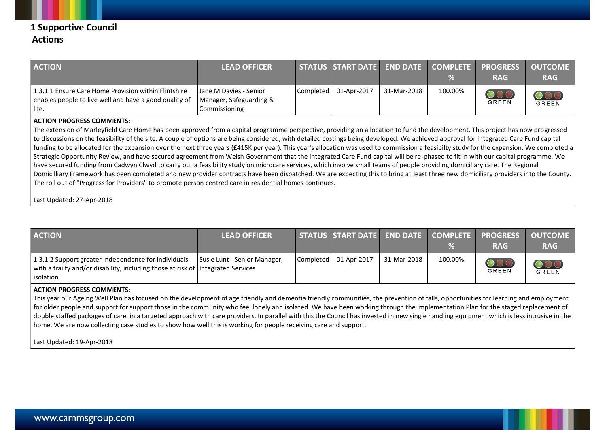## **1 Supportive Council Actions**

| <b>ACTION</b>                                                                                                           | <b>LEAD OFFICER</b>                                                |                  | STATUS START DATE END DATE |             | COMPLETE PROGRESS<br>% | <b>RAG</b>          | <b>OUTCOME</b><br><b>RAG</b> |
|-------------------------------------------------------------------------------------------------------------------------|--------------------------------------------------------------------|------------------|----------------------------|-------------|------------------------|---------------------|------------------------------|
| 1.3.1.1 Ensure Care Home Provision within Flintshire<br>enables people to live well and have a good quality of<br>life. | Jane M Davies - Senior<br>Manager, Safeguarding &<br>Commissioning | <b>Completed</b> | 01-Apr-2017                | 31-Mar-2018 | 100.00%                | $\bigcirc$<br>GREEN | OOC<br>GREEN                 |

#### **ACTION PROGRESS COMMENTS:**

The extension of Marleyfield Care Home has been approved from a capital programme perspective, providing an allocation to fund the development. This project has now progressed to discussions on the feasibility of the site. A couple of options are being considered, with detailed costings being developed. We achieved approval for Integrated Care Fund capital funding to be allocated for the expansion over the next three years (£415K per year). This year's allocation was used to commission a feasibilty study for the expansion. We completed a Strategic Opportunity Review, and have secured agreement from Welsh Government that the Integrated Care Fund capital will be re-phased to fit in with our capital programme. We have secured funding from Cadwyn Clwyd to carry out a feasibility study on microcare services, which involve small teams of people providing domiciliary care. The Regional Domicilliary Framework has been completed and new provider contracts have been dispatched. We are expecting this to bring at least three new domiciliary providers into the County. The roll out of "Progress for Providers" to promote person centred care in residential homes continues.

#### Last Updated: 27-Apr-2018

| <b>ACTION</b>                                                                                                                                          | <b>LEAD OFFICER</b>          |                       |             |         | STATUS START DATE END DATE COMPLETE PROGRESS<br><b>RAG</b> | <b>OUTCOME</b><br><b>RAG</b> |
|--------------------------------------------------------------------------------------------------------------------------------------------------------|------------------------------|-----------------------|-------------|---------|------------------------------------------------------------|------------------------------|
| 1.3.1.2 Support greater independence for individuals<br>with a frailty and/or disability, including those at risk of Integrated Services<br>isolation. | Susie Lunt - Senior Manager, | Completed 01-Apr-2017 | 31-Mar-2018 | 100.00% | <b>GREEN</b>                                               | GREEN                        |

#### **ACTION PROGRESS COMMENTS:**

This year our Ageing Well Plan has focused on the development of age friendly and dementia friendly communities, the prevention of falls, opportunities for learning and employment for older people and support for support those in the community who feel lonely and isolated. We have been working through the Implementation Plan for the staged replacement of double staffed packages of care, in a targeted approach with care providers. In parallel with this the Council has invested in new single handling equipment which is less intrusive in the home. We are now collecting case studies to show how well this is working for people receiving care and support.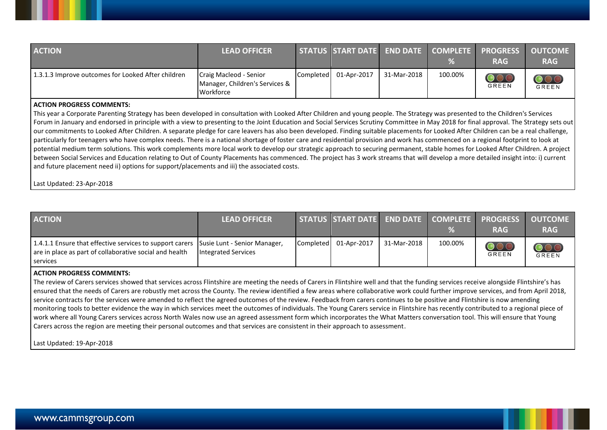| <b>ACTION</b>                                      | <b>LEAD OFFICER</b>                                                   |           | STATUS START DATE END DATE COMPLETE PROGRESS |             |         | <b>RAG</b>         | <b>OUTCOME</b><br><b>RAG</b>    |
|----------------------------------------------------|-----------------------------------------------------------------------|-----------|----------------------------------------------|-------------|---------|--------------------|---------------------------------|
| 1.3.1.3 Improve outcomes for Looked After children | Craig Macleod - Senior<br>Manager, Children's Services &<br>Workforce | Completed | 01-Apr-2017                                  | 31-Mar-2018 | 100.00% | $\bigcap$<br>GREEN | $\overline{\text{OO}}$<br>GREEN |

This year a Corporate Parenting Strategy has been developed in consultation with Looked After Children and young people. The Strategy was presented to the Children's Services Forum in January and endorsed in principle with a view to presenting to the Joint Education and Social Services Scrutiny Committee in May 2018 for final approval. The Strategy sets out our commitments to Looked After Children. A separate pledge for care leavers has also been developed. Finding suitable placements for Looked After Children can be a real challenge, particularly for teenagers who have complex needs. There is a national shortage of foster care and residential provision and work has commenced on a regional footprint to look at potential medium term solutions. This work complements more local work to develop our strategic approach to securing permanent, stable homes for Looked After Children. A project between Social Services and Education relating to Out of County Placements has commenced. The project has 3 work streams that will develop a more detailed insight into: i) current and future placement need ii) options for support/placements and iii) the associated costs.

Last Updated: 23-Apr-2018

| <b>ACTION</b>                                                                                                                                                | <b>LEAD OFFICER</b> | STATUS START DATE END DATE COMPLETE PROGRESS |             |         | <b>RAG</b>                 | <b>OUTCOME</b><br><b>RAG</b> |
|--------------------------------------------------------------------------------------------------------------------------------------------------------------|---------------------|----------------------------------------------|-------------|---------|----------------------------|------------------------------|
| 1.4.1.1 Ensure that effective services to support carers Susie Lunt - Senior Manager,<br>are in place as part of collaborative social and health<br>services | Integrated Services | Completed 01-Apr-2017                        | 31-Mar-2018 | 100.00% | $\bigcirc$<br><b>GREEN</b> | GREEN                        |

#### **ACTION PROGRESS COMMENTS:**

The review of Carers services showed that services across Flintshire are meeting the needs of Carers in Flintshire well and that the funding services receive alongside Flintshire's has ensured that the needs of Carers are robustly met across the County. The review identified a few areas where collaborative work could further improve services, and from April 2018, service contracts for the services were amended to reflect the agreed outcomes of the review. Feedback from carers continues to be positive and Flintshire is now amending monitoring tools to better evidence the way in which services meet the outcomes of individuals. The Young Carers service in Flintshire has recently contributed to a regional piece of work where all Young Carers services across North Wales now use an agreed assessment form which incorporates the What Matters conversation tool. This will ensure that Young Carers across the region are meeting their personal outcomes and that services are consistent in their approach to assessment.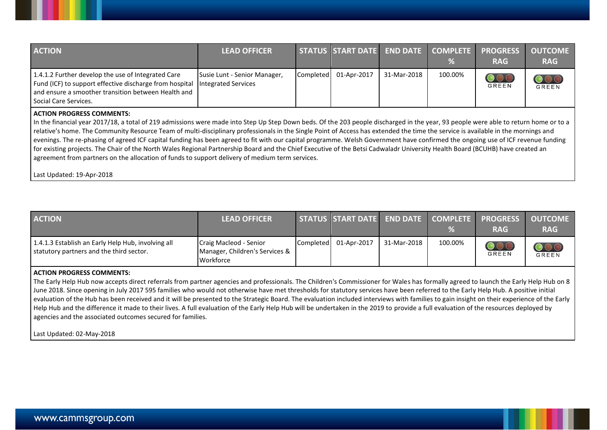| <b>ACTION</b>                                                                                                                                                                                                         | <b>LEAD OFFICER</b>          | STATUS START DATE END DATE COMPLETE PROGRESS |             |         | <b>RAG</b>          | <b>OUTCOME</b><br><b>RAG</b> |
|-----------------------------------------------------------------------------------------------------------------------------------------------------------------------------------------------------------------------|------------------------------|----------------------------------------------|-------------|---------|---------------------|------------------------------|
| 1.4.1.2 Further develop the use of Integrated Care<br>  Fund (ICF) to support effective discharge from hospital   Integrated Services<br>and ensure a smoother transition between Health and<br>Social Care Services. | Susie Lunt - Senior Manager, | Completed 01-Apr-2017                        | 31-Mar-2018 | 100.00% | $\bigcirc$<br>GREEN | GREEN                        |

In the financial year 2017/18, a total of 219 admissions were made into Step Up Step Down beds. Of the 203 people discharged in the year, 93 people were able to return home or to a relative's home. The Community Resource Team of multi-disciplinary professionals in the Single Point of Access has extended the time the service is available in the mornings and evenings. The re-phasing of agreed ICF capital funding has been agreed to fit with our capital programme. Welsh Government have confirmed the ongoing use of ICF revenue funding for existing projects. The Chair of the North Wales Regional Partnership Board and the Chief Executive of the Betsi Cadwaladr University Health Board (BCUHB) have created an agreement from partners on the allocation of funds to support delivery of medium term services.

Last Updated: 19-Apr-2018

| <b>ACTION</b>                                                                                  | <b>LEAD OFFICER</b>                                                   |                       |             | %       | STATUS START DATE END DATE COMPLETE PROGRESS OUTCOME<br><b>RAG</b> | <b>RAG</b>                             |
|------------------------------------------------------------------------------------------------|-----------------------------------------------------------------------|-----------------------|-------------|---------|--------------------------------------------------------------------|----------------------------------------|
| 1.4.1.3 Establish an Early Help Hub, involving all<br>statutory partners and the third sector. | Craig Macleod - Senior<br>Manager, Children's Services &<br>Workforce | Completed 01-Apr-2017 | 31-Mar-2018 | 100.00% | $\bigcirc$<br><b>GREEN</b>                                         | $\overline{\text{OO}}$<br><b>GREEN</b> |

#### **ACTION PROGRESS COMMENTS:**

The Early Help Hub now accepts direct referrals from partner agencies and professionals. The Children's Commissioner for Wales has formally agreed to launch the Early Help Hub on 8 June 2018. Since opening in July 2017 595 families who would not otherwise have met thresholds for statutory services have been referred to the Early Help Hub. A positive initial evaluation of the Hub has been received and it will be presented to the Strategic Board. The evaluation included interviews with families to gain insight on their experience of the Early Help Hub and the difference it made to their lives. A full evaluation of the Early Help Hub will be undertaken in the 2019 to provide a full evaluation of the resources deployed by agencies and the associated outcomes secured for families.

Last Updated: 02-May-2018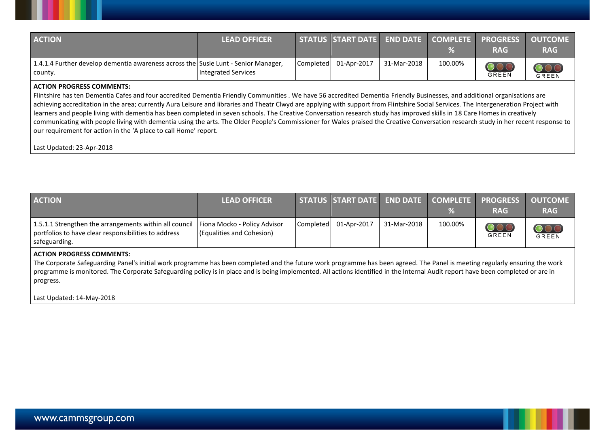| <b>ACTION</b>                                                                                 | <b>LEAD OFFICER</b> |                       |             |         | STATUS  START DATE   END DATE   COMPLETE   PROGRESS   OUTCOME  <br><b>RAG</b> | <b>RAG</b>   |
|-----------------------------------------------------------------------------------------------|---------------------|-----------------------|-------------|---------|-------------------------------------------------------------------------------|--------------|
| 1.4.1.4 Further develop dementia awareness across the Susie Lunt - Senior Manager,<br>county. | Integrated Services | Completed 01-Apr-2017 | 31-Mar-2018 | 100.00% | <b>GREEN</b>                                                                  | <b>GREEN</b> |

Flintshire has ten Dementia Cafes and four accredited Dementia Friendly Communities . We have 56 accredited Dementia Friendly Businesses, and additional organisations are achieving accreditation in the area; currently Aura Leisure and libraries and Theatr Clwyd are applying with support from Flintshire Social Services. The Intergeneration Project with learners and people living with dementia has been completed in seven schools. The Creative Conversation research study has improved skills in 18 Care Homes in creatively communicating with people living with dementia using the arts. The Older People's Commissioner for Wales praised the Creative Conversation research study in her recent response to our requirement for action in the 'A place to call Home' report.

Last Updated: 23-Apr-2018

| <b>ACTION</b>                                                                                                                                                  | <b>LEAD OFFICER</b>       | STATUS START DATE END DATE COMPLETE PROGRESS |             |         | <b>RAG</b>                     | <b>OUTCOME</b><br><b>RAG</b>           |
|----------------------------------------------------------------------------------------------------------------------------------------------------------------|---------------------------|----------------------------------------------|-------------|---------|--------------------------------|----------------------------------------|
| 1.5.1.1 Strengthen the arrangements within all council   Fiona Mocko - Policy Advisor<br>portfolios to have clear responsibilities to address<br>safeguarding. | (Equalities and Cohesion) | Completed 01-Apr-2017                        | 31-Mar-2018 | 100.00% | $\bigcirc$ $\bigcirc$<br>GREEN | $\overline{\text{OO}}$<br><b>GREEN</b> |

#### **ACTION PROGRESS COMMENTS:**

The Corporate Safeguarding Panel's initial work programme has been completed and the future work programme has been agreed. The Panel is meeting regularly ensuring the work programme is monitored. The Corporate Safeguarding policy is in place and is being implemented. All actions identified in the Internal Audit report have been completed or are in progress.

Last Updated: 14-May-2018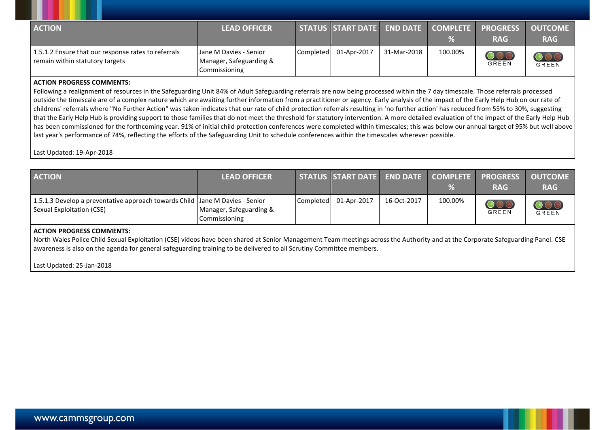| <b>ACTION</b>                                                                          | <b>LEAD OFFICER</b>                                                |                       |             |         | STATUS   START DATE   END DATE   COMPLETE   PROGRESS   OUTCOME  <br><b>RAG</b> | <b>RAG</b>                                         |
|----------------------------------------------------------------------------------------|--------------------------------------------------------------------|-----------------------|-------------|---------|--------------------------------------------------------------------------------|----------------------------------------------------|
| 1.5.1.2 Ensure that our response rates to referrals<br>remain within statutory targets | Jane M Davies - Senior<br>Manager, Safeguarding &<br>Commissioning | Completed 01-Apr-2017 | 31-Mar-2018 | 100.00% | $\bigcirc$<br>GREEN                                                            | $\overline{\text{O}\circ\text{C}}$<br><b>GREEN</b> |

Following a realignment of resources in the Safeguarding Unit 84% of Adult Safeguarding referrals are now being processed within the 7 day timescale. Those referrals processed outside the timescale are of a complex nature which are awaiting further information from a practitioner or agency. Early analysis of the impact of the Early Help Hub on our rate of childrens' referrals where "No Further Action" was taken indicates that our rate of child protection referrals resulting in 'no further action' has reduced from 55% to 30%, suggesting that the Early Help Hub is providing support to those families that do not meet the threshold for statutory intervention. A more detailed evaluation of the impact of the Early Help Hub has been commissioned for the forthcoming year. 91% of initial child protection conferences were completed within timescales; this was below our annual target of 95% but well above last year's performance of 74%, reflecting the efforts of the Safeguarding Unit to schedule conferences within the timescales wherever possible.

#### Last Updated: 19-Apr-2018

| <b>ACTION</b>                                                                                             | <b>LEAD OFFICER</b>                      |                       |             |         | STATUS START DATE END DATE COMPLETE PROGRESS OUTCOME<br><b>RAG</b> | <b>RAG</b>                 |
|-----------------------------------------------------------------------------------------------------------|------------------------------------------|-----------------------|-------------|---------|--------------------------------------------------------------------|----------------------------|
| 1.5.1.3 Develop a preventative approach towards Child Jane M Davies - Senior<br>Sexual Exploitation (CSE) | Manager, Safeguarding &<br>Commissioning | Completed 01-Apr-2017 | 16-Oct-2017 | 100.00% | $\bigcirc$ $\bigcirc$ (<br>GREEN                                   | $\bigcirc$<br><b>GREEN</b> |
| ACTION DROGRESS COMMAENTS.                                                                                |                                          |                       |             |         |                                                                    |                            |

#### **ACTION PROGRESS COMMENTS:**

North Wales Police Child Sexual Exploitation (CSE) videos have been shared at Senior Management Team meetings across the Authority and at the Corporate Safeguarding Panel. CSE awareness is also on the agenda for general safeguarding training to be delivered to all Scrutiny Committee members.

Last Updated: 25-Jan-2018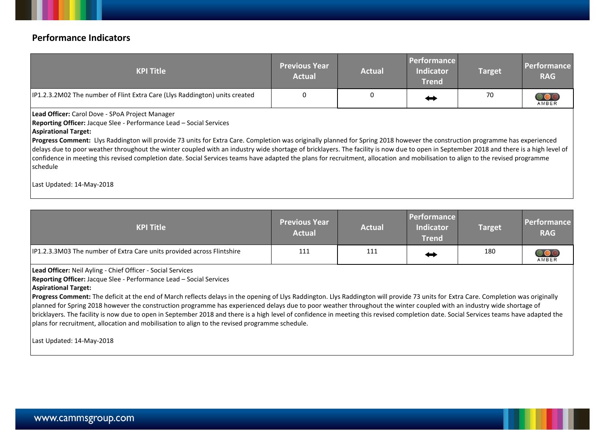### **Performance Indicators**

| <b>KPI Title</b>                                                            | <b>Previous Year</b><br><b>Actual</b> | <b>Actual</b> | Performance<br><b>Indicator</b><br><b>Trend</b> | <b>Target</b> | Performance<br><b>RAG</b> |
|-----------------------------------------------------------------------------|---------------------------------------|---------------|-------------------------------------------------|---------------|---------------------------|
| IP1.2.3.2M02 The number of Flint Extra Care (Llys Raddington) units created | 0                                     |               | i                                               | 70            | AMBER                     |
| $\sim$ $\sim$ $\sim$ $\sim$ $\sim$<br>- - -<br>-- -- - - - -                |                                       |               |                                                 |               |                           |

**Lead Officer:** Carol Dove - SPoA Project Manager

**Reporting Officer:** Jacque Slee - Performance Lead – Social Services

#### **Aspirational Target:**

Progress Comment: Llys Raddington will provide 73 units for Extra Care. Completion was originally planned for Spring 2018 however the construction programme has experienced delays due to poor weather throughout the winter coupled with an industry wide shortage of bricklayers. The facility is now due to open in September 2018 and there is a high level of confidence in meeting this revised completion date. Social Services teams have adapted the plans for recruitment, allocation and mobilisation to align to the revised programme schedule

Last Updated: 14-May-2018

| <b>KPI Title</b>                                                       | <b>Previous Year</b><br><b>Actual</b> | <b>Actual</b> | <b>Performance</b><br>Indicator<br>Trend | Target | Performance<br><b>RAG</b> |
|------------------------------------------------------------------------|---------------------------------------|---------------|------------------------------------------|--------|---------------------------|
| IP1.2.3.3M03 The number of Extra Care units provided across Flintshire | 111                                   | 111           |                                          | 180    | AMBER                     |

**Lead Officer:** Neil Ayling - Chief Officer - Social Services

**Reporting Officer:** Jacque Slee - Performance Lead – Social Services

#### **Aspirational Target:**

Progress Comment: The deficit at the end of March reflects delays in the opening of Llys Raddington. Llys Raddington will provide 73 units for Extra Care. Completion was originally planned for Spring 2018 however the construction programme has experienced delays due to poor weather throughout the winter coupled with an industry wide shortage of bricklayers. The facility is now due to open in September 2018 and there is a high level of confidence in meeting this revised completion date. Social Services teams have adapted the plans for recruitment, allocation and mobilisation to align to the revised programme schedule.

Last Updated: 14-May-2018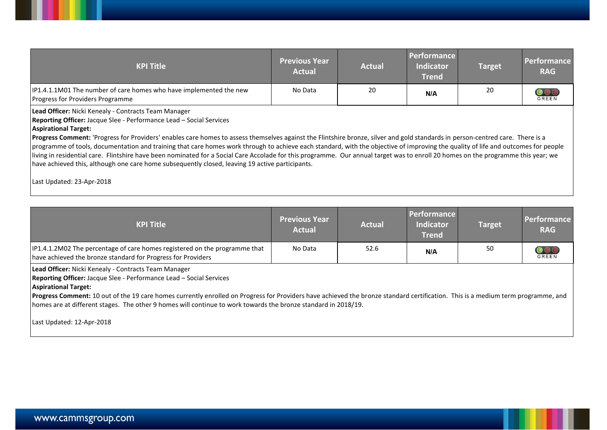| <b>KPI Title</b>                                                                                                                                                                                                                                                                                                                                                                                                                                                                                                                         | <b>Previous Year</b><br><b>Actual</b> | <b>Actual</b> | Performance<br><b>Indicator</b><br><b>Trend</b> | <b>Target</b> | Performance<br><b>RAG</b> |
|------------------------------------------------------------------------------------------------------------------------------------------------------------------------------------------------------------------------------------------------------------------------------------------------------------------------------------------------------------------------------------------------------------------------------------------------------------------------------------------------------------------------------------------|---------------------------------------|---------------|-------------------------------------------------|---------------|---------------------------|
| IP1.4.1.1M01 The number of care homes who have implemented the new<br><b>Progress for Providers Programme</b>                                                                                                                                                                                                                                                                                                                                                                                                                            | No Data                               | 20            | N/A                                             | 20            | $\circ$<br>GREEN          |
| Lead Officer: Nicki Kenealy - Contracts Team Manager<br><b>Reporting Officer: Jacque Slee - Performance Lead - Social Services</b><br><b>Aspirational Target:</b><br>Progress Comment: 'Progress for Providers' enables care homes to assess themselves against the Flintshire bronze, silver and gold standards in person-centred care. There is a<br>programme of tools, documentation and training that care homes work through to achieve each standard, with the objective of improving the quality of life and outcomes for people |                                       |               |                                                 |               |                           |

living in residential care. Flintshire have been nominated for a Social Care Accolade for this programme. Our annual target was to enroll 20 homes on the programme this year; we have achieved this, although one care home subsequently closed, leaving 19 active participants.

Last Updated: 23-Apr-2018

| <b>KPI Title</b>                                                                                                                                                           | <b>Previous Year</b><br><b>Actual</b> | <b>Actual</b> | <b>Performance</b><br><b>Indicator</b><br><b>Trend</b> | <b>Target</b> | <b>Performance</b><br><b>RAG</b> |
|----------------------------------------------------------------------------------------------------------------------------------------------------------------------------|---------------------------------------|---------------|--------------------------------------------------------|---------------|----------------------------------|
| IP1.4.1.2M02 The percentage of care homes registered on the programme that<br>have achieved the bronze standard for Progress for Providers                                 | No Data                               | 52.6          | N/A                                                    | 50            | $\cup \cup$<br>GREEN             |
| Lead Officer: Nicki Kenealy - Contracts Team Manager<br>Reporting Officer: Jacque Slee - Performance Lead - Social Services<br><b>A</b> continuations of <b>T</b> urbandar |                                       |               |                                                        |               |                                  |

**Aspirational Target:** 

**Progress Comment:** 10 out of the 19 care homes currently enrolled on Progress for Providers have achieved the bronze standard certification. This is a medium term programme, and homes are at different stages. The other 9 homes will continue to work towards the bronze standard in 2018/19.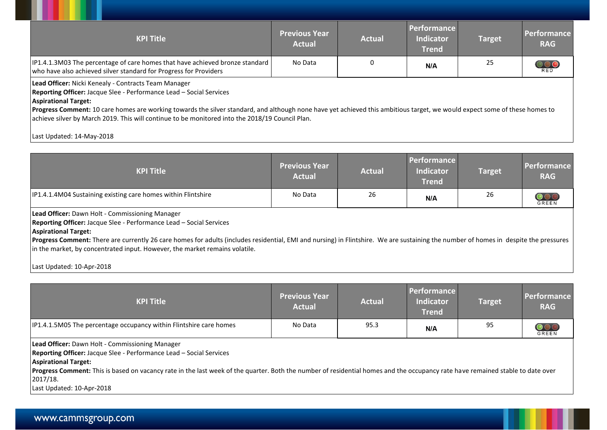| <b>KPI Title</b>                                                                                                                                                                                                                                                                                                                                                                                                                            | <b>Previous Year</b><br><b>Actual</b> | <b>Actual</b> | <b>Performance</b><br><b>Indicator</b><br><b>Trend</b> | <b>Target</b> | Performance<br><b>RAG</b> |
|---------------------------------------------------------------------------------------------------------------------------------------------------------------------------------------------------------------------------------------------------------------------------------------------------------------------------------------------------------------------------------------------------------------------------------------------|---------------------------------------|---------------|--------------------------------------------------------|---------------|---------------------------|
| IP1.4.1.3M03 The percentage of care homes that have achieved bronze standard<br>who have also achieved silver standard for Progress for Providers                                                                                                                                                                                                                                                                                           | No Data                               |               | N/A                                                    | 25            | $\frac{1}{\sqrt{2}}$      |
| Lead Officer: Nicki Kenealy - Contracts Team Manager<br>Reporting Officer: Jacque Slee - Performance Lead - Social Services<br><b>Aspirational Target:</b><br>Progress Comment: 10 care homes are working towards the silver standard, and although none have yet achieved this ambitious target, we would expect some of these homes to<br>achieve silver by March 2019. This will continue to be monitored into the 2018/19 Council Plan. |                                       |               |                                                        |               |                           |

Last Updated: 14-May-2018

| <b>KPI Title</b>                                                                                                                                                                                                                                                                                                                                                                                                                    | <b>Previous Year</b><br><b>Actual</b> | <b>Actual</b> | <b>Performance</b><br><b>Indicator</b><br><b>Trend</b> | <b>Target</b> | Performance<br><b>RAG</b>      |
|-------------------------------------------------------------------------------------------------------------------------------------------------------------------------------------------------------------------------------------------------------------------------------------------------------------------------------------------------------------------------------------------------------------------------------------|---------------------------------------|---------------|--------------------------------------------------------|---------------|--------------------------------|
| <b>IP1.4.1.4M04 Sustaining existing care homes within Flintshire</b>                                                                                                                                                                                                                                                                                                                                                                | No Data                               | 26            | N/A                                                    | 26            | $\mathrm{OOC}$<br><b>GREEN</b> |
| Lead Officer: Dawn Holt - Commissioning Manager<br><b>Reporting Officer:</b> Jacque Slee - Performance Lead - Social Services<br><b>Aspirational Target:</b><br>Progress Comment: There are currently 26 care homes for adults (includes residential, EMI and nursing) in Flintshire. We are sustaining the number of homes in despite the pressures<br>in the market, by concentrated input. However, the market remains volatile. |                                       |               |                                                        |               |                                |
| Last Updated: 10-Apr-2018                                                                                                                                                                                                                                                                                                                                                                                                           |                                       |               |                                                        |               |                                |

| <b>KPI Title</b>                                                                                                                                                                                                                                                                                                                                                                        | <b>Previous Year</b><br><b>Actual</b> | <b>Actual</b> | <b>Performance</b><br>Indicator<br><b>Trend</b> | <b>Target</b> | Performance<br><b>RAG</b> |
|-----------------------------------------------------------------------------------------------------------------------------------------------------------------------------------------------------------------------------------------------------------------------------------------------------------------------------------------------------------------------------------------|---------------------------------------|---------------|-------------------------------------------------|---------------|---------------------------|
| IP1.4.1.5M05 The percentage occupancy within Flintshire care homes                                                                                                                                                                                                                                                                                                                      | No Data                               | 95.3          | N/A                                             | 95            | OOC<br>GREEN              |
| Lead Officer: Dawn Holt - Commissioning Manager<br><b>Reporting Officer:</b> Jacque Slee - Performance Lead - Social Services<br><b>Aspirational Target:</b><br>Progress Comment: This is based on vacancy rate in the last week of the quarter. Both the number of residential homes and the occupancy rate have remained stable to date over<br>2017/18.<br>Last Updated: 10-Apr-2018 |                                       |               |                                                 |               |                           |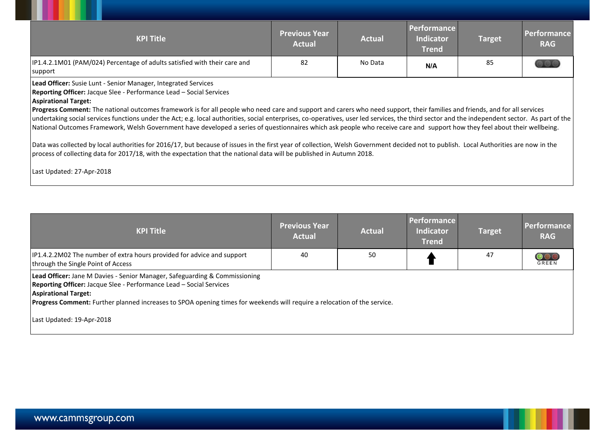| <b>KPI Title</b>                                                                                                                                                                                                                                                                                                                                                                                                                                                                                                                                                                                                                                                                                                                                                                                                                                                                                                                                                                                                                                                                          | <b>Previous Year</b><br><b>Actual</b> | <b>Actual</b> | Performance<br><b>Indicator</b><br><b>Trend</b> | <b>Target</b> | Performance<br><b>RAG</b> |
|-------------------------------------------------------------------------------------------------------------------------------------------------------------------------------------------------------------------------------------------------------------------------------------------------------------------------------------------------------------------------------------------------------------------------------------------------------------------------------------------------------------------------------------------------------------------------------------------------------------------------------------------------------------------------------------------------------------------------------------------------------------------------------------------------------------------------------------------------------------------------------------------------------------------------------------------------------------------------------------------------------------------------------------------------------------------------------------------|---------------------------------------|---------------|-------------------------------------------------|---------------|---------------------------|
| IP1.4.2.1M01 (PAM/024) Percentage of adults satisfied with their care and<br>support                                                                                                                                                                                                                                                                                                                                                                                                                                                                                                                                                                                                                                                                                                                                                                                                                                                                                                                                                                                                      | 82                                    | No Data       | N/A                                             | 85            |                           |
| Lead Officer: Susie Lunt - Senior Manager, Integrated Services<br><b>Reporting Officer:</b> Jacque Slee - Performance Lead – Social Services<br><b>Aspirational Target:</b><br>Progress Comment: The national outcomes framework is for all people who need care and support and carers who need support, their families and friends, and for all services<br>undertaking social services functions under the Act; e.g. local authorities, social enterprises, co-operatives, user led services, the third sector and the independent sector. As part of the<br>National Outcomes Framework, Welsh Government have developed a series of questionnaires which ask people who receive care and support how they feel about their wellbeing.<br>Data was collected by local authorities for 2016/17, but because of issues in the first year of collection, Welsh Government decided not to publish. Local Authorities are now in the<br>process of collecting data for 2017/18, with the expectation that the national data will be published in Autumn 2018.<br>Last Updated: 27-Apr-2018 |                                       |               |                                                 |               |                           |
|                                                                                                                                                                                                                                                                                                                                                                                                                                                                                                                                                                                                                                                                                                                                                                                                                                                                                                                                                                                                                                                                                           |                                       |               |                                                 |               |                           |

| <b>KPI Title</b>                                                                                                                                                                                                                                                                                             | <b>Previous Year</b><br><b>Actual</b> | <b>Actual</b> | <b>Performance</b><br><b>Indicator</b><br><b>Trend</b> | <b>Target</b> | Performance<br><b>RAG</b> |
|--------------------------------------------------------------------------------------------------------------------------------------------------------------------------------------------------------------------------------------------------------------------------------------------------------------|---------------------------------------|---------------|--------------------------------------------------------|---------------|---------------------------|
| IP1.4.2.2M02 The number of extra hours provided for advice and support<br>through the Single Point of Access                                                                                                                                                                                                 | 40                                    | 50            |                                                        | 47            | OOC<br>GREEN              |
| Lead Officer: Jane M Davies - Senior Manager, Safeguarding & Commissioning<br>Reporting Officer: Jacque Slee - Performance Lead - Social Services<br><b>Aspirational Target:</b><br>Progress Comment: Further planned increases to SPOA opening times for weekends will require a relocation of the service. |                                       |               |                                                        |               |                           |
| Last Updated: 19-Apr-2018                                                                                                                                                                                                                                                                                    |                                       |               |                                                        |               |                           |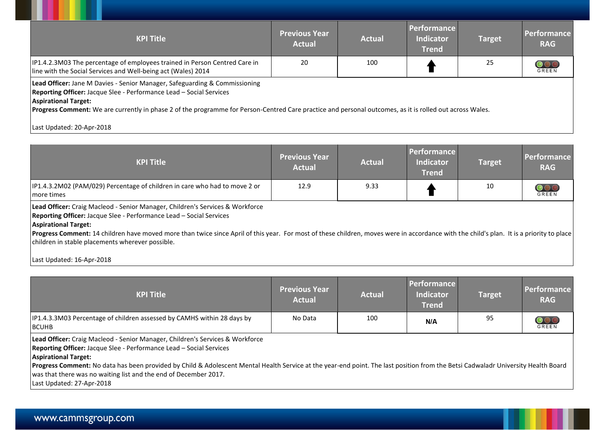| <b>Previous Year</b><br><b>Actual</b> | <b>Actual</b> | <b>Performance</b><br><b>Indicator</b><br><b>Trend</b> | <b>Target</b> | <b>Performance</b><br><b>RAG</b>                                                                                                                                |
|---------------------------------------|---------------|--------------------------------------------------------|---------------|-----------------------------------------------------------------------------------------------------------------------------------------------------------------|
| 20                                    | 100           |                                                        | 25            | <b>GREEN</b>                                                                                                                                                    |
|                                       |               |                                                        |               |                                                                                                                                                                 |
|                                       |               |                                                        |               | <b>Progress Comment:</b> We are currently in phase 2 of the programme for Person-Centred Care practice and personal outcomes, as it is rolled out across Wales. |

| <b>KPI Title</b>                                                                                                                                                                                                                                                                                                                                                                                                                                                        | <b>Previous Year</b><br><b>Actual</b> | <b>Actual</b> | <b>Performance</b><br><b>Indicator</b><br><b>Trend</b> | <b>Target</b> | Performance<br><b>RAG</b> |
|-------------------------------------------------------------------------------------------------------------------------------------------------------------------------------------------------------------------------------------------------------------------------------------------------------------------------------------------------------------------------------------------------------------------------------------------------------------------------|---------------------------------------|---------------|--------------------------------------------------------|---------------|---------------------------|
| IP1.4.3.2M02 (PAM/029) Percentage of children in care who had to move 2 or<br>more times                                                                                                                                                                                                                                                                                                                                                                                | 12.9                                  | 9.33          |                                                        | 10            | GREEN                     |
| Lead Officer: Craig Macleod - Senior Manager, Children's Services & Workforce<br><b>Reporting Officer:</b> Jacque Slee - Performance Lead - Social Services<br><b>Aspirational Target:</b><br>Progress Comment: 14 children have moved more than twice since April of this year. For most of these children, moves were in accordance with the child's plan. It is a priority to place<br>children in stable placements wherever possible.<br>Last Updated: 16-Apr-2018 |                                       |               |                                                        |               |                           |

| <b>KPI Title</b>                                                                                                                                                                                                                                                                                                                                                                                                                                                          | <b>Previous Year</b><br><b>Actual</b> | <b>Actual</b> | Performance<br><b>Indicator</b><br><b>Trend</b> | <b>Target</b> | Performance<br><b>RAG</b> |
|---------------------------------------------------------------------------------------------------------------------------------------------------------------------------------------------------------------------------------------------------------------------------------------------------------------------------------------------------------------------------------------------------------------------------------------------------------------------------|---------------------------------------|---------------|-------------------------------------------------|---------------|---------------------------|
| IP1.4.3.3M03 Percentage of children assessed by CAMHS within 28 days by<br><b>BCUHB</b>                                                                                                                                                                                                                                                                                                                                                                                   | No Data                               | 100           | N/A                                             | 95            | OOC<br>GREEN              |
| Lead Officer: Craig Macleod - Senior Manager, Children's Services & Workforce<br>Reporting Officer: Jacque Slee - Performance Lead - Social Services<br><b>Aspirational Target:</b><br>Progress Comment: No data has been provided by Child & Adolescent Mental Health Service at the year-end point. The last position from the Betsi Cadwaladr University Health Board<br>was that there was no waiting list and the end of December 2017.<br>Last Updated: 27-Apr-2018 |                                       |               |                                                 |               |                           |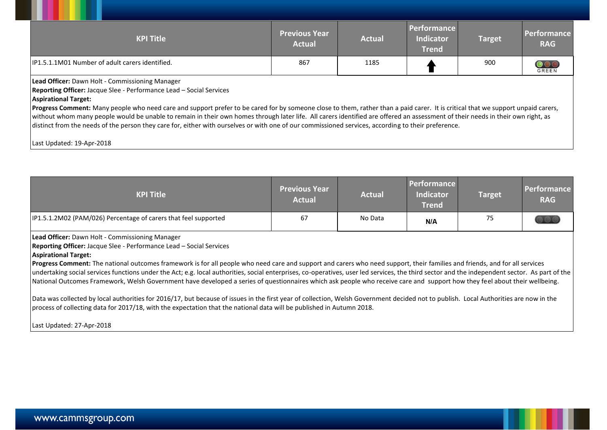| <b>KPI Title</b>                                | <b>Previous Year</b><br><b>Actual</b> | <b>Actual</b> | <b>Performance</b><br><b>Indicator</b><br><b>Trend</b> | <b>Target</b> | Performance<br><b>RAG</b> |
|-------------------------------------------------|---------------------------------------|---------------|--------------------------------------------------------|---------------|---------------------------|
| IP1.5.1.1M01 Number of adult carers identified. | 867                                   | 1185          |                                                        | 900           | GREEN                     |

**Lead Officer:** Dawn Holt - Commissioning Manager

**Reporting Officer:** Jacque Slee - Performance Lead – Social Services

#### **Aspirational Target:**

Progress Comment: Many people who need care and support prefer to be cared for by someone close to them, rather than a paid carer. It is critical that we support unpaid carers, without whom many people would be unable to remain in their own homes through later life. All carers identified are offered an assessment of their needs in their own right, as distinct from the needs of the person they care for, either with ourselves or with one of our commissioned services, according to their preference.

Last Updated: 19-Apr-2018

| <b>KPI Title</b>                                                                                                                                                                                                                                                                                                                                                                                                                                                                                                                                                                                                                                                                                                                   | <b>Previous Year</b><br><b>Actual</b> | <b>Actual</b> | <b>Performance</b><br><b>Indicator</b><br><b>Trend</b> | <b>Target</b> | Performance<br><b>RAG</b> |
|------------------------------------------------------------------------------------------------------------------------------------------------------------------------------------------------------------------------------------------------------------------------------------------------------------------------------------------------------------------------------------------------------------------------------------------------------------------------------------------------------------------------------------------------------------------------------------------------------------------------------------------------------------------------------------------------------------------------------------|---------------------------------------|---------------|--------------------------------------------------------|---------------|---------------------------|
| IP1.5.1.2M02 (PAM/026) Percentage of carers that feel supported                                                                                                                                                                                                                                                                                                                                                                                                                                                                                                                                                                                                                                                                    | 67                                    | No Data       | N/A                                                    | 75            |                           |
| <b>Lead Officer:</b> Dawn Holt - Commissioning Manager<br><b>Reporting Officer:</b> Jacque Slee - Performance Lead - Social Services<br><b>Aspirational Target:</b><br>Progress Comment: The national outcomes framework is for all people who need care and support and carers who need support, their families and friends, and for all services<br>undertaking social services functions under the Act; e.g. local authorities, social enterprises, co-operatives, user led services, the third sector and the independent sector. As part of the<br>National Outcomes Framework, Welsh Government have developed a series of questionnaires which ask people who receive care and support how they feel about their wellbeing. |                                       |               |                                                        |               |                           |

llected by local authorities for 2016/17, but because of issues in the first year of collection, Welsh Government decided not to publish. Local Authorities are now in the process of collecting data for 2017/18, with the expectation that the national data will be published in Autumn 2018.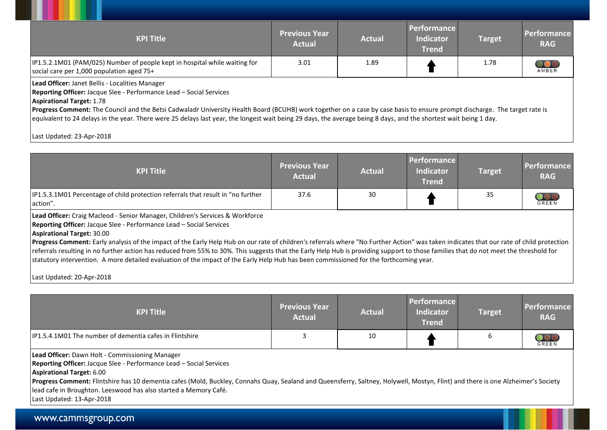| <b>KPI Title</b>                                                                                                                                                                                                                                                                                                                                                                                                                                                                                                                                                                                                                                                                                                         | <b>Previous Year</b><br><b>Actual</b> | <b>Actual</b> | <b>Performance</b><br><b>Indicator</b><br><b>Trend</b> | <b>Target</b> | Performance<br><b>RAG</b> |  |
|--------------------------------------------------------------------------------------------------------------------------------------------------------------------------------------------------------------------------------------------------------------------------------------------------------------------------------------------------------------------------------------------------------------------------------------------------------------------------------------------------------------------------------------------------------------------------------------------------------------------------------------------------------------------------------------------------------------------------|---------------------------------------|---------------|--------------------------------------------------------|---------------|---------------------------|--|
| IP1.5.2.1M01 (PAM/025) Number of people kept in hospital while waiting for<br>social care per 1,000 population aged 75+                                                                                                                                                                                                                                                                                                                                                                                                                                                                                                                                                                                                  | 3.01                                  | 1.89          |                                                        | 1.78          | AMBER                     |  |
| Lead Officer: Janet Bellis - Localities Manager<br>Reporting Officer: Jacque Slee - Performance Lead - Social Services<br><b>Aspirational Target: 1.78</b><br>Progress Comment: The Council and the Betsi Cadwaladr University Health Board (BCUHB) work together on a case by case basis to ensure prompt discharge. The target rate is<br>equivalent to 24 delays in the year. There were 25 delays last year, the longest wait being 29 days, the average being 8 days, and the shortest wait being 1 day.<br>Last Updated: 23-Apr-2018                                                                                                                                                                               |                                       |               |                                                        |               |                           |  |
|                                                                                                                                                                                                                                                                                                                                                                                                                                                                                                                                                                                                                                                                                                                          |                                       |               |                                                        |               |                           |  |
| <b>KPI Title</b>                                                                                                                                                                                                                                                                                                                                                                                                                                                                                                                                                                                                                                                                                                         | <b>Previous Year</b><br><b>Actual</b> | <b>Actual</b> | <b>Performance</b><br>Indicator<br><b>Trend</b>        | <b>Target</b> | Performance<br><b>RAG</b> |  |
| IP1.5.3.1M01 Percentage of child protection referrals that result in "no further<br>action".                                                                                                                                                                                                                                                                                                                                                                                                                                                                                                                                                                                                                             | 37.6                                  | 30            |                                                        | 35            | GREEN                     |  |
| Lead Officer: Craig Macleod - Senior Manager, Children's Services & Workforce<br>Reporting Officer: Jacque Slee - Performance Lead - Social Services<br><b>Aspirational Target: 30.00</b><br>Progress Comment: Early analysis of the impact of the Early Help Hub on our rate of children's referrals where "No Further Action" was taken indicates that our rate of child protection<br>referrals resulting in no further action has reduced from 55% to 30%. This suggests that the Early Help Hub is providing support to those families that do not meet the threshold for<br>statutory intervention. A more detailed evaluation of the impact of the Early Help Hub has been commissioned for the forthcoming year. |                                       |               |                                                        |               |                           |  |

| <b>KPI Title</b>                                                                                                                                                                                                                                                                                                                                                                                                                                       | <b>Previous Year</b><br><b>Actual</b> | <b>Actual</b> | <b>Performance</b><br><b>Indicator</b><br><b>Trend</b> | <b>Target</b> | Performance<br><b>RAG</b> |
|--------------------------------------------------------------------------------------------------------------------------------------------------------------------------------------------------------------------------------------------------------------------------------------------------------------------------------------------------------------------------------------------------------------------------------------------------------|---------------------------------------|---------------|--------------------------------------------------------|---------------|---------------------------|
| IP1.5.4.1M01 The number of dementia cafes in Flintshire                                                                                                                                                                                                                                                                                                                                                                                                |                                       | 10            |                                                        | 6             | OOC<br>GREEN              |
| Lead Officer: Dawn Holt - Commissioning Manager<br><b>Reporting Officer:</b> Jacque Slee - Performance Lead - Social Services<br><b>Aspirational Target: 6.00</b><br>Progress Comment: Flintshire has 10 dementia cafes (Mold, Buckley, Connahs Quay, Sealand and Queensferry, Saltney, Holywell, Mostyn, Flint) and there is one Alzheimer's Society<br>lead cafe in Broughton. Leeswood has also started a Memory Café.<br>Last Updated: 13-Apr-2018 |                                       |               |                                                        |               |                           |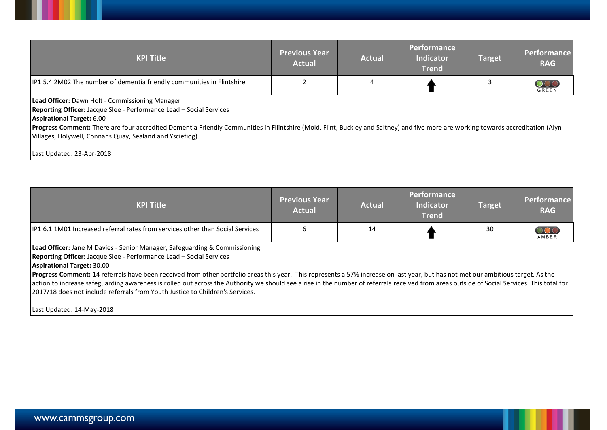| <b>Previous Year</b><br><b>Actual</b> | <b>Actual</b> | <b>Performance</b><br>Indicator<br><b>Trend</b> | <b>Target</b> | Performance<br><b>RAG</b>                                                                                                                                                         |
|---------------------------------------|---------------|-------------------------------------------------|---------------|-----------------------------------------------------------------------------------------------------------------------------------------------------------------------------------|
|                                       |               |                                                 |               | <b>GREEN</b>                                                                                                                                                                      |
|                                       |               |                                                 |               |                                                                                                                                                                                   |
|                                       |               |                                                 |               | Progress Comment: There are four accredited Dementia Friendly Communities in Fliintshire (Mold, Flint, Buckley and Saltney) and five more are working towards accreditation (Alyn |

| <b>KPI Title</b>                                                                                                                                                                                                                                                                                                                                                                                                                                                                                                                                                                                                                                                                                       | <b>Previous Year</b><br><b>Actual</b> | <b>Actual</b> | Performance<br><b>Indicator</b><br><b>Trend</b> | <b>Target</b> | Performance<br><b>RAG</b> |
|--------------------------------------------------------------------------------------------------------------------------------------------------------------------------------------------------------------------------------------------------------------------------------------------------------------------------------------------------------------------------------------------------------------------------------------------------------------------------------------------------------------------------------------------------------------------------------------------------------------------------------------------------------------------------------------------------------|---------------------------------------|---------------|-------------------------------------------------|---------------|---------------------------|
| IP1.6.1.1M01 Increased referral rates from services other than Social Services                                                                                                                                                                                                                                                                                                                                                                                                                                                                                                                                                                                                                         | 6                                     | 14            |                                                 | 30            | $\frac{1}{2}$<br>AMBER    |
| <b>Lead Officer:</b> Jane M Davies - Senior Manager, Safeguarding & Commissioning<br><b>Reporting Officer:</b> Jacque Slee - Performance Lead - Social Services<br><b>Aspirational Target: 30.00</b><br>Progress Comment: 14 referrals have been received from other portfolio areas this year. This represents a 57% increase on last year, but has not met our ambitious target. As the<br>action to increase safeguarding awareness is rolled out across the Authority we should see a rise in the number of referrals received from areas outside of Social Services. This total for<br>2017/18 does not include referrals from Youth Justice to Children's Services.<br>Last Updated: 14-May-2018 |                                       |               |                                                 |               |                           |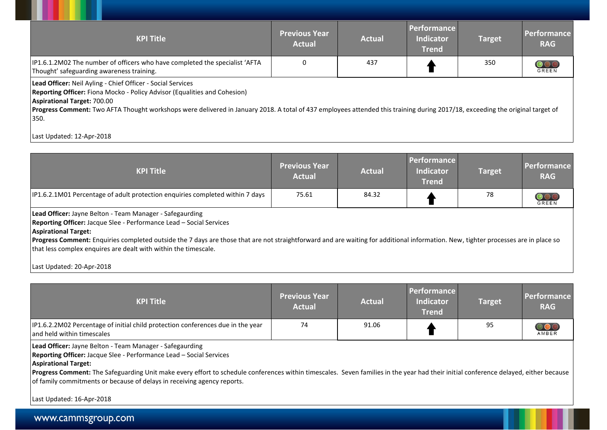| <b>KPI Title</b>                                                                                                                                                                                                                                                                                                                                                                              | <b>Previous Year</b><br><b>Actual</b> | <b>Actual</b> | <b>Performance</b><br><b>Indicator</b><br><b>Trend</b> | <b>Target</b> | Performance<br><b>RAG</b> |
|-----------------------------------------------------------------------------------------------------------------------------------------------------------------------------------------------------------------------------------------------------------------------------------------------------------------------------------------------------------------------------------------------|---------------------------------------|---------------|--------------------------------------------------------|---------------|---------------------------|
| IP1.6.1.2M02 The number of officers who have completed the specialist 'AFTA<br>Thought' safeguarding awareness training.                                                                                                                                                                                                                                                                      | $\Omega$                              | 437           |                                                        | 350           | <b>GREEN</b>              |
| Lead Officer: Neil Ayling - Chief Officer - Social Services<br>Reporting Officer: Fiona Mocko - Policy Advisor (Equalities and Cohesion)<br>Aspirational Target: 700.00<br>Progress Comment: Two AFTA Thought workshops were delivered in January 2018. A total of 437 employees attended this training during 2017/18, exceeding the original target of<br>350.<br>Last Updated: 12-Apr-2018 |                                       |               |                                                        |               |                           |

| <b>KPI Title</b>                                                                                                                                                                                                                                                                                                                                                                                                                                            | <b>Previous Year</b><br><b>Actual</b> | <b>Actual</b> | Performance<br>Indicator<br><b>Trend</b> | <b>Target</b> | Performance<br><b>RAG</b> |
|-------------------------------------------------------------------------------------------------------------------------------------------------------------------------------------------------------------------------------------------------------------------------------------------------------------------------------------------------------------------------------------------------------------------------------------------------------------|---------------------------------------|---------------|------------------------------------------|---------------|---------------------------|
| IP1.6.2.1M01 Percentage of adult protection enquiries completed within 7 days                                                                                                                                                                                                                                                                                                                                                                               | 75.61                                 | 84.32         |                                          | 78            | OOC<br><b>GREEN</b>       |
| <b>Lead Officer:</b> Jayne Belton - Team Manager - Safegaurding<br>Reporting Officer: Jacque Slee - Performance Lead - Social Services<br><b>Aspirational Target:</b><br>Progress Comment: Enquiries completed outside the 7 days are those that are not straightforward and are waiting for additional information. New, tighter processes are in place so<br>that less complex enquires are dealt with within the timescale.<br>Last Updated: 20-Apr-2018 |                                       |               |                                          |               |                           |

| <b>KPI Title</b>                                                                                              | <b>Previous Year</b><br><b>Actual</b> | <b>Actual</b> | Performance<br><b>Indicator</b><br>Trend | <b>Target</b> | Performance<br><b>RAG</b> |
|---------------------------------------------------------------------------------------------------------------|---------------------------------------|---------------|------------------------------------------|---------------|---------------------------|
| IP1.6.2.2M02 Percentage of initial child protection conferences due in the year<br>and held within timescales | 74                                    | 91.06         |                                          | 95            | AMBER                     |

**Lead Officer:** Jayne Belton - Team Manager - Safegaurding

**Reporting Officer:** Jacque Slee - Performance Lead – Social Services **Aspirational Target:**

Progress Comment: The Safeguarding Unit make every effort to schedule conferences within timescales. Seven families in the year had their initial conference delayed, either because of family commitments or because of delays in receiving agency reports.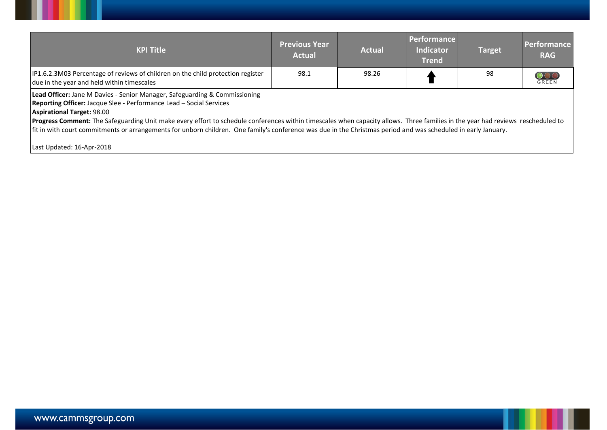| <b>KPI Title</b>                                                                                                                                                                                                                                                                                                                                                          | <b>Previous Year</b><br><b>Actual</b> | <b>Actual</b> | <b>Performance</b><br><b>Indicator</b><br><b>Trend</b> | <b>Target</b> | <b>Performance</b><br><b>RAG</b> |
|---------------------------------------------------------------------------------------------------------------------------------------------------------------------------------------------------------------------------------------------------------------------------------------------------------------------------------------------------------------------------|---------------------------------------|---------------|--------------------------------------------------------|---------------|----------------------------------|
| IP1.6.2.3M03 Percentage of reviews of children on the child protection register<br>due in the year and held within timescales                                                                                                                                                                                                                                             | 98.1                                  | 98.26         |                                                        | 98            | GREEN                            |
| Lead Officer: Jane M Davies - Senior Manager, Safeguarding & Commissioning<br>Reporting Officer: Jacque Slee - Performance Lead - Social Services<br><b>Aspirational Target: 98.00</b><br>Progress Comment: The Safeguarding Unit make every effort to schedule conferences within timescales when capacity allows. Three families in the year had reviews rescheduled to |                                       |               |                                                        |               |                                  |
| fit in with court commitments or arrangements for unborn children. One family's conference was due in the Christmas period and was scheduled in early January.<br>Last Updated: 16-Apr-2018                                                                                                                                                                               |                                       |               |                                                        |               |                                  |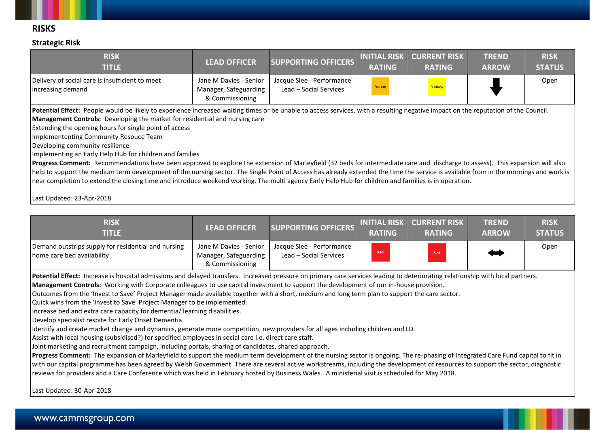## **RISKS**

#### **Strategic Risk**

| <b>RISK</b><br><b>TITLE</b>                                                                                                                                                                                                                                                                                                                                                  | <b>LEAD OFFICER</b>                                                | <b>SUPPORTING OFFICERS</b>                          | <b>INITIAL RISK</b><br><b>RATING</b> | <b>CURRENT RISK</b><br><b>RATING</b> | <b>TREND</b><br><b>ARROW</b> | <b>RISK</b><br><b>STATUS</b> |
|------------------------------------------------------------------------------------------------------------------------------------------------------------------------------------------------------------------------------------------------------------------------------------------------------------------------------------------------------------------------------|--------------------------------------------------------------------|-----------------------------------------------------|--------------------------------------|--------------------------------------|------------------------------|------------------------------|
| Delivery of social care is insufficient to meet<br>increasing demand                                                                                                                                                                                                                                                                                                         | Jane M Davies - Senior<br>Manager, Safeguarding<br>& Commissioning | Jacque Slee - Performance<br>Lead - Social Services | Amber                                | Yellow                               |                              | Open                         |
| <b>Potential Effect:</b> People would be likely to experience increased waiting times or be unable to access services, with a resulting negative impact on the reputation of the Council.<br>Management Controls: Developing the market for residential and nursing care<br>Extending the opening hours for single point of access<br>Implemententing Community Resouce Team |                                                                    |                                                     |                                      |                                      |                              |                              |

Developing community resilience

Implementing an Early Help Hub for children and families

**Progress Comment:** Recommendations have been approved to explore the extension of Marleyfield (32 beds for intermediate care and discharge to assess). This expansion will also help to support the medium term development of the nursing sector. The Single Point of Access has already extended the time the service is available from in the mornings and work is near completion to extend the closing time and introduce weekend working. The multi agency Early Help Hub for children and families is in operation.

Last Updated: 23-Apr-2018

| <b>RISK</b><br>TITLE                                                              | <b>LEAD OFFICER</b>                                                | <b>SUPPORTING OFFICERS</b>                          | <b>RATING</b> | <b>INITIAL RISK CURRENT RISK</b><br><b>RATING</b> | <b>TREND</b><br><b>ARROW</b> | <b>RISK</b><br><b>STATUS</b> |
|-----------------------------------------------------------------------------------|--------------------------------------------------------------------|-----------------------------------------------------|---------------|---------------------------------------------------|------------------------------|------------------------------|
| Demand outstrips supply for residential and nursing<br>home care bed availability | Jane M Davies - Senior<br>Manager, Safeguarding<br>& Commissioning | Jacque Slee - Performance<br>Lead - Social Services | <b>Red</b>    | <b>Red</b>                                        | ŧ۳                           | Open                         |

Potential Effect: Increase is hospital admissions and delayed transfers. Increased pressure on primary care services leading to deteriorating relationship with local partners. **Management Controls:** Working with Corporate colleagues to use capital investment to support the development of our in-house provision.

Outcomes from the 'Invest to Save' Project Manager made available together with a short, medium and long term plan to support the care sector.

Quick wins from the 'Invest to Save' Project Manager to be implemented.

Increase bed and extra care capacity for dementia/ learning disabilities.

Develop specialist respite for Early Onset Dementia.

Identify and create market change and dynamics, generate more competition, new providers for all ages including children and LD.

Assist with local housing (subsidised?) for specified employees in social care i.e. direct care staff.

Joint marketing and recruitment campaign, including portals, sharing of candidates, shared approach.

**Progress Comment:** The expansion of Marleyfield to support the medium term development of the nursing sector is ongoing. The re-phasing of Integrated Care Fund capital to fit in with our capital programme has been agreed by Welsh Government. There are several active workstreams, including the development of resources to support the sector, diagnostic reviews for providers and a Care Conference which was held in February hosted by Business Wales. A ministerial visit is scheduled for May 2018.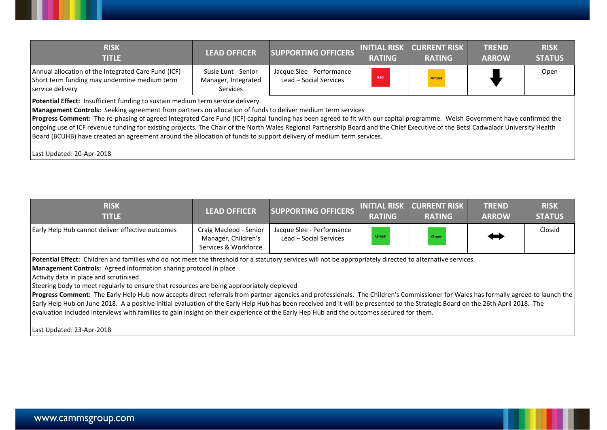| <b>RISK</b><br><b>TITLE</b>                                                                                               | <b>LEAD OFFICER</b>                                    | <b>SUPPORTING OFFICERS</b>                          | <b>RATING</b> | <b>INITIAL RISK CURRENT RISK</b><br><b>RATING</b> | <b>TREND</b><br><b>ARROW</b> | <b>RISK</b><br><b>STATUS</b> |
|---------------------------------------------------------------------------------------------------------------------------|--------------------------------------------------------|-----------------------------------------------------|---------------|---------------------------------------------------|------------------------------|------------------------------|
| Annual allocation of the Integrated Care Fund (ICF) -<br>Short term funding may undermine medium term<br>service delivery | Susie Lunt - Senior<br>Manager, Integrated<br>Services | Jacque Slee - Performance<br>Lead - Social Services | Red           | Amber                                             |                              | Open                         |

**Potential Effect:** Insufficient funding to sustain medium term service delivery.

**Management Controls:** Seeking agreement from partners on allocation of funds to deliver medium term services

**Progress Comment:** The re-phasing of agreed Integrated Care Fund (ICF) capital funding has been agreed to fit with our capital programme. Welsh Government have confirmed the ongoing use of ICF revenue funding for existing projects. The Chair of the North Wales Regional Partnership Board and the Chief Executive of the Betsi Cadwaladr University Health Board (BCUHB) have created an agreement around the allocation of funds to support delivery of medium term services.

Last Updated: 20-Apr-2018

| <b>RISK</b><br><b>TITLE</b>                                                                                                                                                                                                            | <b>LEAD OFFICER</b>                                                   | SUPPORTING OFFICERS                                 | <b>INITIAL RISK</b><br><b>RATING</b> | <b>CURRENT RISK</b><br><b>RATING</b> | <b>TREND</b><br><b>ARROW</b> | <b>RISK</b><br><b>STATUS</b> |
|----------------------------------------------------------------------------------------------------------------------------------------------------------------------------------------------------------------------------------------|-----------------------------------------------------------------------|-----------------------------------------------------|--------------------------------------|--------------------------------------|------------------------------|------------------------------|
| Early Help Hub cannot deliver effective outcomes                                                                                                                                                                                       | Craig Macleod - Senior<br>Manager, Children's<br>Services & Workforce | Jacque Slee - Performance<br>Lead – Social Services | Green                                | Green                                | ⇔                            | Closed                       |
| Potential Effect: Children and families who do not meet the threshold for a statutory services will not be appropriately directed to alternative services.<br><b>Management Controls:</b> Agreed information sharing protocol in place |                                                                       |                                                     |                                      |                                      |                              |                              |

Activity data in place and scrutinised

Steering body to meet regularly to ensure that resources are being appropriately deployed

**Progress Comment:** The Early Help Hub now accepts direct referrals from partner agencies and professionals. The Children's Commissioner for Wales has formally agreed to launch the Early Help Hub on June 2018. A a positive initial evaluation of the Early Help Hub has been received and it will be presented to the Strategic Board on the 26th April 2018. The evaluation included interviews with families to gain insight on their experience of the Early Hep Hub and the outcomes secured for them.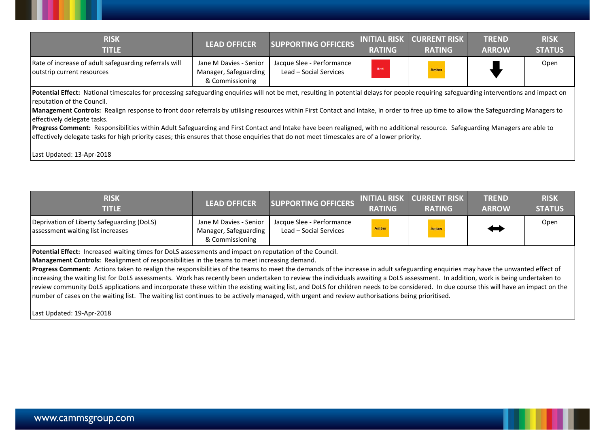| <b>RISK</b><br>TITLE                                                                | <b>LEAD OFFICER</b>                                                | <b>SUPPORTING OFFICERS</b>                          | <b>RATING</b> | <b>INITIAL RISK CURRENT RISK</b><br><b>RATING</b> | <b>TREND</b><br><b>ARROW</b> | <b>RISK</b><br><b>STATUS</b> |
|-------------------------------------------------------------------------------------|--------------------------------------------------------------------|-----------------------------------------------------|---------------|---------------------------------------------------|------------------------------|------------------------------|
| Rate of increase of adult safeguarding referrals will<br>outstrip current resources | Jane M Davies - Senior<br>Manager, Safeguarding<br>& Commissioning | Jacque Slee - Performance<br>Lead – Social Services | Red           | Amber                                             |                              | Open                         |

Potential Effect: National timescales for processing safeguarding enquiries will not be met, resulting in potential delays for people requiring safeguarding interventions and impact on reputation of the Council.

**Management Controls:** Realign response to front door referrals by utilising resources within First Contact and Intake, in order to free up time to allow the Safeguarding Managers to effectively delegate tasks.

Progress Comment: Responsibilities within Adult Safeguarding and First Contact and Intake have been realigned, with no additional resource. Safeguarding Managers are able to effectively delegate tasks for high priority cases; this ensures that those enquiries that do not meet timescales are of a lower priority.

Last Updated: 13-Apr-2018

| <b>RISK</b><br><b>TITLE</b>                                                                                                                                                                                                                                                                                                                                                                                                                                                                                                                                                                                                                                                                                                                                                                                                                                                                                                     | <b>LEAD OFFICER</b>                                                | <b>SUPPORTING OFFICERS</b>                          | <b>INITIAL RISK</b><br><b>RATING</b> | <b>CURRENT RISK</b><br><b>RATING</b> | <b>TREND</b><br><b>ARROW</b> | <b>RISK</b><br><b>STATUS</b> |
|---------------------------------------------------------------------------------------------------------------------------------------------------------------------------------------------------------------------------------------------------------------------------------------------------------------------------------------------------------------------------------------------------------------------------------------------------------------------------------------------------------------------------------------------------------------------------------------------------------------------------------------------------------------------------------------------------------------------------------------------------------------------------------------------------------------------------------------------------------------------------------------------------------------------------------|--------------------------------------------------------------------|-----------------------------------------------------|--------------------------------------|--------------------------------------|------------------------------|------------------------------|
| Deprivation of Liberty Safeguarding (DoLS)<br>assessment waiting list increases                                                                                                                                                                                                                                                                                                                                                                                                                                                                                                                                                                                                                                                                                                                                                                                                                                                 | Jane M Davies - Senior<br>Manager, Safeguarding<br>& Commissioning | Jacque Slee - Performance<br>Lead - Social Services | Amber                                | Amber                                |                              | Open                         |
| Potential Effect: Increased waiting times for DoLS assessments and impact on reputation of the Council.<br>Management Controls: Realignment of responsibilities in the teams to meet increasing demand.<br>Progress Comment: Actions taken to realign the responsibilities of the teams to meet the demands of the increase in adult safeguarding enquiries may have the unwanted effect of<br>increasing the waiting list for DoLS assessments. Work has recently been undertaken to review the individuals awaiting a DoLS assessment. In addition, work is being undertaken to<br>review community DoLS applications and incorporate these within the existing waiting list, and DoLS for children needs to be considered. In due course this will have an impact on the<br>number of cases on the waiting list. The waiting list continues to be actively managed, with urgent and review authorisations being prioritised. |                                                                    |                                                     |                                      |                                      |                              |                              |